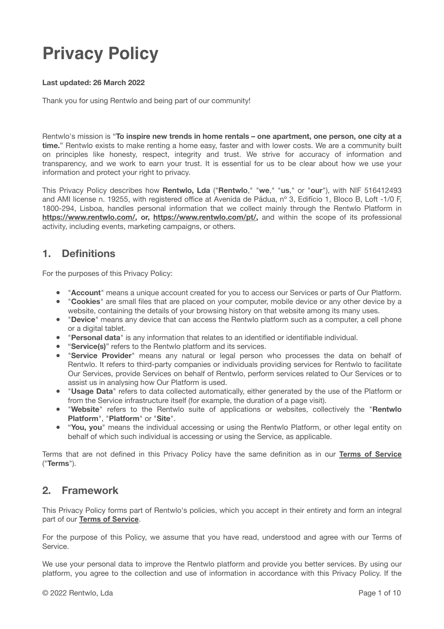# **Privacy Policy**

#### **Last updated: 26 March 2022**

Thank you for using Rentwlo and being part of our community!

Rentwlo's mission is "**To inspire new trends in home rentals – one apartment, one person, one city at a time.**" Rentwlo exists to make renting a home easy, faster and with lower costs. We are a community built on principles like honesty, respect, integrity and trust. We strive for accuracy of information and transparency, and we work to earn your trust. It is essential for us to be clear about how we use your information and protect your right to privacy.

This Privacy Policy describes how **Rentwlo, Lda** ("**Rentwlo**," "**we**," "**us**," or "**our**"), with NIF 516412493 and AMI license n. 19255, with registered office at Avenida de Pádua, nº 3, Edifício 1, Bloco B, Loft -1/0 F, 1800-294, Lisboa, handles personal information that we collect mainly through the Rentwlo Platform in **https://www.rentwlo.com/, or, https://www.rentwlo.com/pt/,** and within the scope of its professional activity, including events, marketing campaigns, or others.

# **1. Definitions**

For the purposes of this Privacy Policy:

- "**Account**" means a unique account created for you to access our Services or parts of Our Platform.
- "**Cookies**" are small files that are placed on your computer, mobile device or any other device by a website, containing the details of your browsing history on that website among its many uses.
- "**Device**" means any device that can access the Rentwlo platform such as a computer, a cell phone or a digital tablet.
- "**Personal data**" is any information that relates to an identified or identifiable individual.
- "**Service(s)**" refers to the Rentwlo platform and its services.
- "**Service Provider**" means any natural or legal person who processes the data on behalf of Rentwlo. It refers to third-party companies or individuals providing services for Rentwlo to facilitate Our Services, provide Services on behalf of Rentwlo, perform services related to Our Services or to assist us in analysing how Our Platform is used.
- "**Usage Data**" refers to data collected automatically, either generated by the use of the Platform or from the Service infrastructure itself (for example, the duration of a page visit).
- "**Website**" refers to the Rentwlo suite of applications or websites, collectively the "**Rentwlo Platform**", "**Platform**" or "**Site**".
- "**You, you**" means the individual accessing or using the Rentwlo Platform, or other legal entity on behalf of which such individual is accessing or using the Service, as applicable.

Terms that are not defined in this Privacy Policy have the same definition as in our **[Terms of Service](https://www.rentwlo.com/terms-of-service/)** ("**Terms**").

# **2. Framework**

This Privacy Policy forms part of Rentwlo's policies, which you accept in their entirety and form an integral part of our **[Terms of Service](https://www.rentwlo.com/terms-of-service/)**.

For the purpose of this Policy, we assume that you have read, understood and agree with our Terms of Service.

We use your personal data to improve the Rentwlo platform and provide you better services. By using our platform, you agree to the collection and use of information in accordance with this Privacy Policy. If the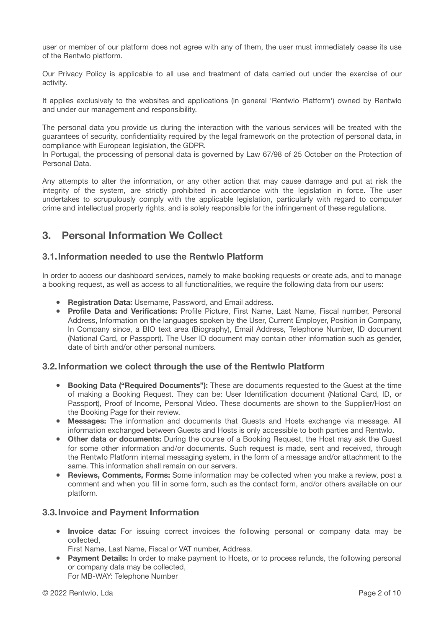user or member of our platform does not agree with any of them, the user must immediately cease its use of the Rentwlo platform.

Our Privacy Policy is applicable to all use and treatment of data carried out under the exercise of our activity.

It applies exclusively to the websites and applications (in general 'Rentwlo Platform') owned by Rentwlo and under our management and responsibility.

The personal data you provide us during the interaction with the various services will be treated with the guarantees of security, confidentiality required by the legal framework on the protection of personal data, in compliance with European legislation, the GDPR.

In Portugal, the processing of personal data is governed by Law 67/98 of 25 October on the Protection of Personal Data.

Any attempts to alter the information, or any other action that may cause damage and put at risk the integrity of the system, are strictly prohibited in accordance with the legislation in force. The user undertakes to scrupulously comply with the applicable legislation, particularly with regard to computer crime and intellectual property rights, and is solely responsible for the infringement of these regulations.

# **3. Personal Information We Collect**

## **3.1.Information needed to use the Rentwlo Platform**

In order to access our dashboard services, namely to make booking requests or create ads, and to manage a booking request, as well as access to all functionalities, we require the following data from our users:

- **Registration Data:** Username, Password, and Email address.
- **Profile Data and Verifications:** Profile Picture, First Name, Last Name, Fiscal number, Personal Address, Information on the languages spoken by the User, Current Employer, Position in Company, In Company since, a BIO text area (Biography), Email Address, Telephone Number, ID document (National Card, or Passport). The User ID document may contain other information such as gender, date of birth and/or other personal numbers.

## **3.2.Information we colect through the use of the Rentwlo Platform**

- **Booking Data ("Required Documents"):** These are documents requested to the Guest at the time of making a Booking Request. They can be: User Identification document (National Card, ID, or Passport), Proof of Income, Personal Video. These documents are shown to the Supplier/Host on the Booking Page for their review.
- **Messages:** The information and documents that Guests and Hosts exchange via message. All information exchanged between Guests and Hosts is only accessible to both parties and Rentwlo.
- **Other data or documents:** During the course of a Booking Request, the Host may ask the Guest for some other information and/or documents. Such request is made, sent and received, through the Rentwlo Platform internal messaging system, in the form of a message and/or attachment to the same. This information shall remain on our servers.
- **Reviews, Comments, Forms:** Some information may be collected when you make a review, post a comment and when you fill in some form, such as the contact form, and/or others available on our platform.

## **3.3.Invoice and Payment Information**

- **Invoice data:** For issuing correct invoices the following personal or company data may be collected,
- First Name, Last Name, Fiscal or VAT number, Address.
- **Payment Details:** In order to make payment to Hosts, or to process refunds, the following personal or company data may be collected, For MB-WAY: Telephone Number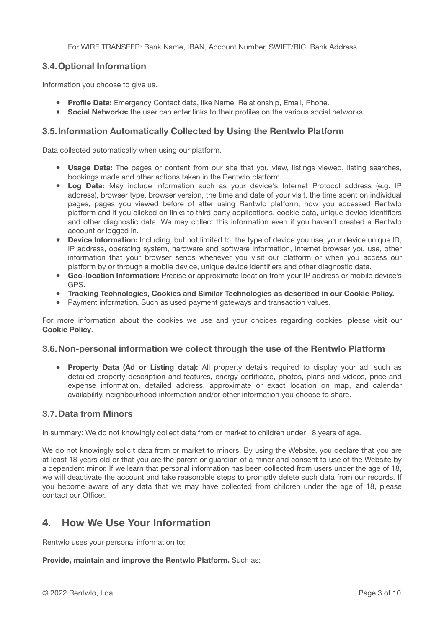For WIRE TRANSFER: Bank Name, IBAN, Account Number, SWIFT/BIC, Bank Address.

## **3.4.Optional Information**

Information you choose to give us.

- **Profile Data:** Emergency Contact data, like Name, Relationship, Email, Phone.
- **Social Networks:** the user can enter links to their profiles on the various social networks.

## **3.5.Information Automatically Collected by Using the Rentwlo Platform**

Data collected automatically when using our platform.

- **Usage Data:** The pages or content from our site that you view, listings viewed, listing searches, bookings made and other actions taken in the Rentwlo platform.
- **Log Data:** May include information such as your device's Internet Protocol address (e.g. IP address), browser type, browser version, the time and date of your visit, the time spent on individual pages, pages you viewed before of after using Rentwlo platform, how you accessed Rentwlo platform and if you clicked on links to third party applications, cookie data, unique device identifiers and other diagnostic data. We may collect this information even if you haven't created a Rentwlo account or logged in.
- **Device Information:** Including, but not limited to, the type of device you use, your device unique ID, IP address, operating system, hardware and software information, Internet browser you use, other information that your browser sends whenever you visit our platform or when you access our platform by or through a mobile device, unique device identifiers and other diagnostic data.
- **Geo-location Information:** Precise or approximate location from your IP address or mobile device's GPS.
- **● Tracking Technologies, Cookies and Similar Technologies as described in our [Cookie Policy.](https://www.rentwlo.com/rentwlo-cookie-policy/)**
- Payment information. Such as used payment gateways and transaction values.

For more information about the cookies we use and your choices regarding cookies, please visit our **[Cookie Policy](https://www.rentwlo.com/rentwlo-cookie-policy/)**.

## **3.6.Non-personal information we colect through the use of the Rentwlo Platform**

● **Property Data (Ad or Listing data):** All property details required to display your ad, such as detailed property description and features, energy certificate, photos, plans and videos, price and expense information, detailed address, approximate or exact location on map, and calendar availability, neighbourhood information and/or other information you choose to share.

## **3.7.Data from Minors**

In summary: We do not knowingly collect data from or market to children under 18 years of age.

We do not knowingly solicit data from or market to minors. By using the Website, you declare that you are at least 18 years old or that you are the parent or guardian of a minor and consent to use of the Website by a dependent minor. If we learn that personal information has been collected from users under the age of 18, we will deactivate the account and take reasonable steps to promptly delete such data from our records. If you become aware of any data that we may have collected from children under the age of 18, please contact our Officer.

# **4. How We Use Your Information**

Rentwlo uses your personal information to:

## **Provide, maintain and improve the Rentwlo Platform.** Such as: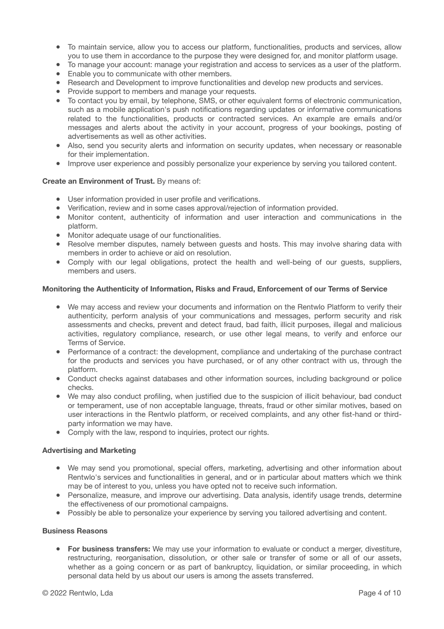- To maintain service, allow you to access our platform, functionalities, products and services, allow you to use them in accordance to the purpose they were designed for, and monitor platform usage.
- To manage your account: manage your registration and access to services as a user of the platform.
- Enable you to communicate with other members.
- Research and Development to improve functionalities and develop new products and services.
- Provide support to members and manage your requests.
- To contact you by email, by telephone, SMS, or other equivalent forms of electronic communication, such as a mobile application's push notifications regarding updates or informative communications related to the functionalities, products or contracted services. An example are emails and/or messages and alerts about the activity in your account, progress of your bookings, posting of advertisements as well as other activities.
- Also, send you security alerts and information on security updates, when necessary or reasonable for their implementation.
- Improve user experience and possibly personalize your experience by serving you tailored content.

#### **Create an Environment of Trust.** By means of:

- User information provided in user profile and verifications.
- Verification, review and in some cases approval/rejection of information provided.
- Monitor content, authenticity of information and user interaction and communications in the platform.
- Monitor adequate usage of our functionalities.
- Resolve member disputes, namely between guests and hosts. This may involve sharing data with members in order to achieve or aid on resolution.
- Comply with our legal obligations, protect the health and well-being of our guests, suppliers, members and users.

#### **Monitoring the Authenticity of Information, Risks and Fraud, Enforcement of our Terms of Service**

- We may access and review your documents and information on the Rentwlo Platform to verify their authenticity, perform analysis of your communications and messages, perform security and risk assessments and checks, prevent and detect fraud, bad faith, illicit purposes, illegal and malicious activities, regulatory compliance, research, or use other legal means, to verify and enforce our Terms of Service.
- Performance of a contract: the development, compliance and undertaking of the purchase contract for the products and services you have purchased, or of any other contract with us, through the platform.
- Conduct checks against databases and other information sources, including background or police checks.
- We may also conduct profiling, when justified due to the suspicion of illicit behaviour, bad conduct or temperament, use of non acceptable language, threats, fraud or other similar motives, based on user interactions in the Rentwlo platform, or received complaints, and any other fist-hand or thirdparty information we may have.
- Comply with the law, respond to inquiries, protect our rights.

#### **Advertising and Marketing**

- We may send you promotional, special offers, marketing, advertising and other information about Rentwlo's services and functionalities in general, and or in particular about matters which we think may be of interest to you, unless you have opted not to receive such information.
- Personalize, measure, and improve our advertising. Data analysis, identify usage trends, determine the effectiveness of our promotional campaigns.
- Possibly be able to personalize your experience by serving you tailored advertising and content.

#### **Business Reasons**

● **For business transfers:** We may use your information to evaluate or conduct a merger, divestiture, restructuring, reorganisation, dissolution, or other sale or transfer of some or all of our assets, whether as a going concern or as part of bankruptcy, liquidation, or similar proceeding, in which personal data held by us about our users is among the assets transferred.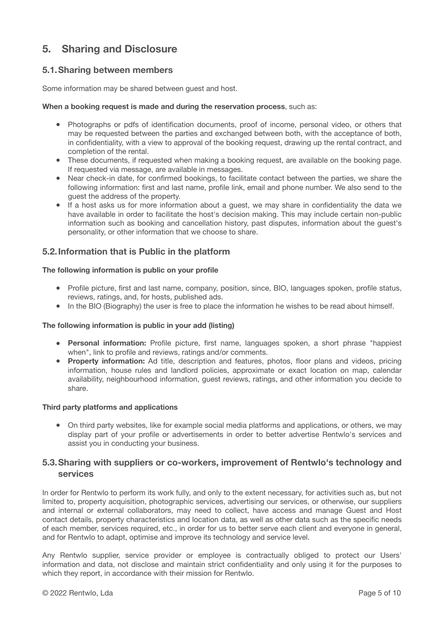# **5. Sharing and Disclosure**

## **5.1.Sharing between members**

Some information may be shared between guest and host.

#### **When a booking request is made and during the reservation process**, such as:

- Photographs or pdfs of identification documents, proof of income, personal video, or others that may be requested between the parties and exchanged between both, with the acceptance of both, in confidentiality, with a view to approval of the booking request, drawing up the rental contract, and completion of the rental.
- These documents, if requested when making a booking request, are available on the booking page. If requested via message, are available in messages.
- Near check-in date, for confirmed bookings, to facilitate contact between the parties, we share the following information: first and last name, profile link, email and phone number. We also send to the guest the address of the property.
- If a host asks us for more information about a guest, we may share in confidentiality the data we have available in order to facilitate the host's decision making. This may include certain non-public information such as booking and cancellation history, past disputes, information about the guest's personality, or other information that we choose to share.

## **5.2.Information that is Public in the platform**

#### **The following information is public on your profile**

- Profile picture, first and last name, company, position, since, BIO, languages spoken, profile status, reviews, ratings, and, for hosts, published ads.
- In the BIO (Biography) the user is free to place the information he wishes to be read about himself.

#### **The following information is public in your add (listing)**

- **Personal information:** Profile picture, first name, languages spoken, a short phrase "happiest when", link to profile and reviews, ratings and/or comments.
- **Property information:** Ad title, description and features, photos, floor plans and videos, pricing information, house rules and landlord policies, approximate or exact location on map, calendar availability, neighbourhood information, guest reviews, ratings, and other information you decide to share.

#### **Third party platforms and applications**

● On third party websites, like for example social media platforms and applications, or others, we may display part of your profile or advertisements in order to better advertise Rentwlo's services and assist you in conducting your business.

## **5.3.Sharing with suppliers or co-workers, improvement of Rentwlo's technology and services**

In order for Rentwlo to perform its work fully, and only to the extent necessary, for activities such as, but not limited to, property acquisition, photographic services, advertising our services, or otherwise, our suppliers and internal or external collaborators, may need to collect, have access and manage Guest and Host contact details, property characteristics and location data, as well as other data such as the specific needs of each member, services required, etc., in order for us to better serve each client and everyone in general, and for Rentwlo to adapt, optimise and improve its technology and service level.

Any Rentwlo supplier, service provider or employee is contractually obliged to protect our Users' information and data, not disclose and maintain strict confidentiality and only using it for the purposes to which they report, in accordance with their mission for Rentwlo.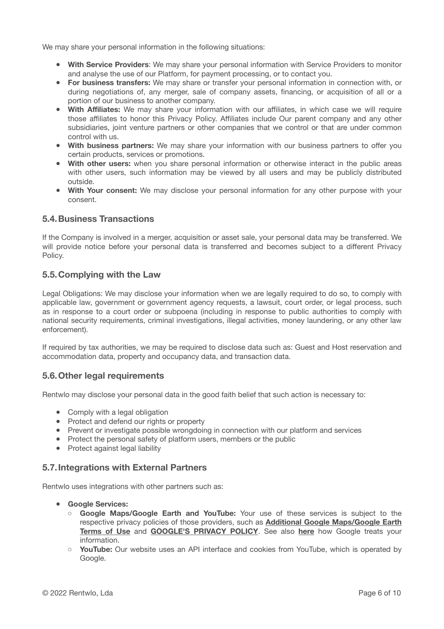We may share your personal information in the following situations:

- **With Service Providers**: We may share your personal information with Service Providers to monitor and analyse the use of our Platform, for payment processing, or to contact you.
- **For business transfers:** We may share or transfer your personal information in connection with, or during negotiations of, any merger, sale of company assets, financing, or acquisition of all or a portion of our business to another company.
- **With Affiliates:** We may share your information with our affiliates, in which case we will require those affiliates to honor this Privacy Policy. Affiliates include Our parent company and any other subsidiaries, joint venture partners or other companies that we control or that are under common control with us.
- **With business partners:** We may share your information with our business partners to offer you certain products, services or promotions.
- **With other users:** when you share personal information or otherwise interact in the public areas with other users, such information may be viewed by all users and may be publicly distributed outside.
- **With Your consent:** We may disclose your personal information for any other purpose with your consent.

## **5.4.Business Transactions**

If the Company is involved in a merger, acquisition or asset sale, your personal data may be transferred. We will provide notice before your personal data is transferred and becomes subject to a different Privacy Policy.

## **5.5.Complying with the Law**

Legal Obligations: We may disclose your information when we are legally required to do so, to comply with applicable law, government or government agency requests, a lawsuit, court order, or legal process, such as in response to a court order or subpoena (including in response to public authorities to comply with national security requirements, criminal investigations, illegal activities, money laundering, or any other law enforcement).

If required by tax authorities, we may be required to disclose data such as: Guest and Host reservation and accommodation data, property and occupancy data, and transaction data.

## **5.6.Other legal requirements**

Rentwlo may disclose your personal data in the good faith belief that such action is necessary to:

- Comply with a legal obligation
- Protect and defend our rights or property
- Prevent or investigate possible wrongdoing in connection with our platform and services
- Protect the personal safety of platform users, members or the public
- Protect against legal liability

## **5.7.Integrations with External Partners**

Rentwlo uses integrations with other partners such as:

- **● Google Services:** 
	- **Google Maps/Google Earth and YouTube:** Your use of these services is subject to the respective privacy policies of those providers, such as **[Additional Google Maps/Google Earth](https://www.google.com/intl/pt-PT/help/terms_maps/) [Terms of Use](https://www.google.com/intl/pt-PT/help/terms_maps/)** and **[GOOGLE'S PRIVACY POLICY](https://policies.google.com/privacy?hl=pt-PT)**. See also **[here](https://policies.google.com/technologies/partner-sites?hl=pt-PT)** how Google treats your information.
	- **YouTube:** Our website uses an API interface and cookies from YouTube, which is operated by Google.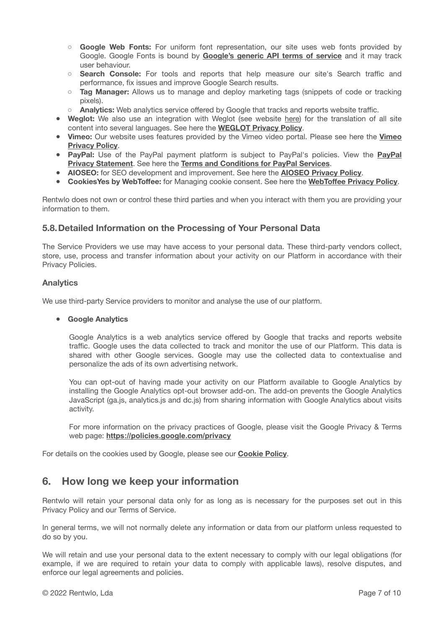- **Google Web Fonts:** For uniform font representation, our site uses web fonts provided by Google. Google Fonts is bound by **[Google's generic API terms of service](https://developers.google.com/terms/)** and it may track user behaviour.
- **Search Console:** For tools and reports that help measure our site's Search traffic and performance, fix issues and improve Google Search results.
- **Tag Manager:** Allows us to manage and deploy marketing tags (snippets of code or tracking pixels).
- **Analytics:** Web analytics service offered by Google that tracks and reports website traffic.
- **Weglot:** We also use an integration with Weglot (see website [here](https://weglot.com/)) for the translation of all site content into several languages. See here the **[WEGLOT Privacy Policy](https://weglot.com/privacy/)**.
- **Vimeo:** Our website uses features provided by the Vimeo video portal. Please see here the **[Vimeo](https://vimeo.com/privacy) [Privacy Policy](https://vimeo.com/privacy)**.
- **PayPal:** Use of the PayPal payment platform is subject to PayPal's policies. View the **[PayPal](https://www.paypal.com/pt/webapps/mpp/ua/privacy-full) [Privacy Statement](https://www.paypal.com/pt/webapps/mpp/ua/privacy-full)**. See here the **[Terms and Conditions for PayPal Services](https://www.paypal.com/pt/webapps/mpp/ua/legalhub-full?locale.x=pt_PT)**.
- **AIOSEO:** for SEO development and improvement. See here the **[AIOSEO Privacy Policy](https://aioseo.com/privacy-policy/#:~:text=We%20don)**.
- **CookiesYes by WebToffee:** for Managing cookie consent. See here the **WebToff[ee Privacy Policy](https://www.webtoffee.com/privacy-policy/)**.

Rentwlo does not own or control these third parties and when you interact with them you are providing your information to them.

## **5.8.Detailed Information on the Processing of Your Personal Data**

The Service Providers we use may have access to your personal data. These third-party vendors collect, store, use, process and transfer information about your activity on our Platform in accordance with their Privacy Policies.

#### **Analytics**

We use third-party Service providers to monitor and analyse the use of our platform.

#### **● Google Analytics**

Google Analytics is a web analytics service offered by Google that tracks and reports website traffic. Google uses the data collected to track and monitor the use of our Platform. This data is shared with other Google services. Google may use the collected data to contextualise and personalize the ads of its own advertising network.

You can opt-out of having made your activity on our Platform available to Google Analytics by installing the Google Analytics opt-out browser add-on. The add-on prevents the Google Analytics JavaScript (ga.js, analytics.js and dc.js) from sharing information with Google Analytics about visits activity.

For more information on the privacy practices of Google, please visit the Google Privacy & Terms web page: **<https://policies.google.com/privacy>**

For details on the cookies used by Google, please see our **[Cookie Policy](https://www.rentwlo.com/rentwlo-cookie-policy/)**.

# **6. How long we keep your information**

Rentwlo will retain your personal data only for as long as is necessary for the purposes set out in this Privacy Policy and our Terms of Service.

In general terms, we will not normally delete any information or data from our platform unless requested to do so by you.

We will retain and use your personal data to the extent necessary to comply with our legal obligations (for example, if we are required to retain your data to comply with applicable laws), resolve disputes, and enforce our legal agreements and policies.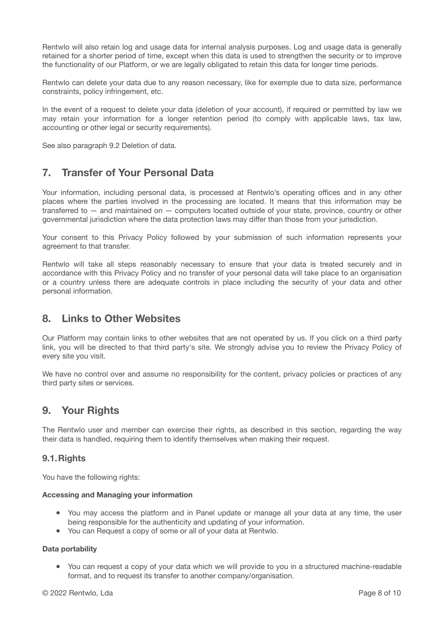Rentwlo will also retain log and usage data for internal analysis purposes. Log and usage data is generally retained for a shorter period of time, except when this data is used to strengthen the security or to improve the functionality of our Platform, or we are legally obligated to retain this data for longer time periods.

Rentwlo can delete your data due to any reason necessary, like for exemple due to data size, performance constraints, policy infringement, etc.

In the event of a request to delete your data (deletion of your account), if required or permitted by law we may retain your information for a longer retention period (to comply with applicable laws, tax law, accounting or other legal or security requirements).

See also paragraph 9.2 Deletion of data.

# **7. Transfer of Your Personal Data**

Your information, including personal data, is processed at Rentwlo's operating offices and in any other places where the parties involved in the processing are located. It means that this information may be transferred to — and maintained on — computers located outside of your state, province, country or other governmental jurisdiction where the data protection laws may differ than those from your jurisdiction.

Your consent to this Privacy Policy followed by your submission of such information represents your agreement to that transfer.

Rentwlo will take all steps reasonably necessary to ensure that your data is treated securely and in accordance with this Privacy Policy and no transfer of your personal data will take place to an organisation or a country unless there are adequate controls in place including the security of your data and other personal information.

# **8. Links to Other Websites**

Our Platform may contain links to other websites that are not operated by us. If you click on a third party link, you will be directed to that third party's site. We strongly advise you to review the Privacy Policy of every site you visit.

We have no control over and assume no responsibility for the content, privacy policies or practices of any third party sites or services.

# **9. Your Rights**

The Rentwlo user and member can exercise their rights, as described in this section, regarding the way their data is handled, requiring them to identify themselves when making their request.

## **9.1.Rights**

You have the following rights:

## **Accessing and Managing your information**

- You may access the platform and in Panel update or manage all your data at any time, the user being responsible for the authenticity and updating of your information.
- You can Request a copy of some or all of your data at Rentwlo.

## **Data portability**

● You can request a copy of your data which we will provide to you in a structured machine-readable format, and to request its transfer to another company/organisation.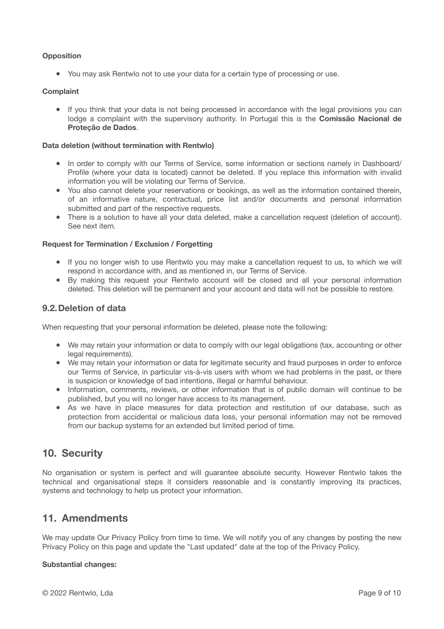## **Opposition**

● You may ask Rentwlo not to use your data for a certain type of processing or use.

#### **Complaint**

• If you think that your data is not being processed in accordance with the legal provisions you can lodge a complaint with the supervisory authority. In Portugal this is the **Comissão Nacional de Proteção de Dados**.

#### **Data deletion (without termination with Rentwlo)**

- In order to comply with our Terms of Service, some information or sections namely in Dashboard/ Profile (where your data is located) cannot be deleted. If you replace this information with invalid information you will be violating our Terms of Service.
- You also cannot delete your reservations or bookings, as well as the information contained therein, of an informative nature, contractual, price list and/or documents and personal information submitted and part of the respective requests.
- There is a solution to have all your data deleted, make a cancellation request (deletion of account). See next item.

#### **Request for Termination / Exclusion / Forgetting**

- If you no longer wish to use Rentwlo you may make a cancellation request to us, to which we will respond in accordance with, and as mentioned in, our Terms of Service.
- By making this request your Rentwlo account will be closed and all your personal information deleted. This deletion will be permanent and your account and data will not be possible to restore.

## **9.2.Deletion of data**

When requesting that your personal information be deleted, please note the following:

- We may retain your information or data to comply with our legal obligations (tax, accounting or other legal requirements).
- We may retain your information or data for legitimate security and fraud purposes in order to enforce our Terms of Service, in particular vis-à-vis users with whom we had problems in the past, or there is suspicion or knowledge of bad intentions, illegal or harmful behaviour.
- Information, comments, reviews, or other information that is of public domain will continue to be published, but you will no longer have access to its management.
- As we have in place measures for data protection and restitution of our database, such as protection from accidental or malicious data loss, your personal information may not be removed from our backup systems for an extended but limited period of time.

# **10. Security**

No organisation or system is perfect and will guarantee absolute security. However Rentwlo takes the technical and organisational steps it considers reasonable and is constantly improving its practices, systems and technology to help us protect your information.

# **11. Amendments**

We may update Our Privacy Policy from time to time. We will notify you of any changes by posting the new Privacy Policy on this page and update the "Last updated" date at the top of the Privacy Policy.

## **Substantial changes:**